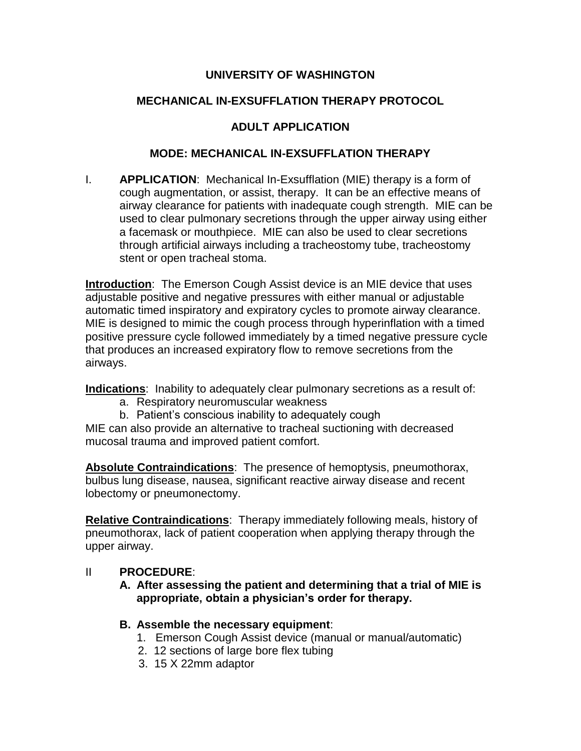# **UNIVERSITY OF WASHINGTON**

# **MECHANICAL IN-EXSUFFLATION THERAPY PROTOCOL**

# **ADULT APPLICATION**

#### **MODE: MECHANICAL IN-EXSUFFLATION THERAPY**

I. **APPLICATION**: Mechanical In-Exsufflation (MIE) therapy is a form of cough augmentation, or assist, therapy. It can be an effective means of airway clearance for patients with inadequate cough strength. MIE can be used to clear pulmonary secretions through the upper airway using either a facemask or mouthpiece. MIE can also be used to clear secretions through artificial airways including a tracheostomy tube, tracheostomy stent or open tracheal stoma.

**Introduction**: The Emerson Cough Assist device is an MIE device that uses adjustable positive and negative pressures with either manual or adjustable automatic timed inspiratory and expiratory cycles to promote airway clearance. MIE is designed to mimic the cough process through hyperinflation with a timed positive pressure cycle followed immediately by a timed negative pressure cycle that produces an increased expiratory flow to remove secretions from the airways.

**Indications**: Inability to adequately clear pulmonary secretions as a result of:

- a. Respiratory neuromuscular weakness
- b. Patient's conscious inability to adequately cough

MIE can also provide an alternative to tracheal suctioning with decreased mucosal trauma and improved patient comfort.

**Absolute Contraindications**: The presence of hemoptysis, pneumothorax, bulbus lung disease, nausea, significant reactive airway disease and recent lobectomy or pneumonectomy.

**Relative Contraindications**: Therapy immediately following meals, history of pneumothorax, lack of patient cooperation when applying therapy through the upper airway.

## II **PROCEDURE**:

**A. After assessing the patient and determining that a trial of MIE is appropriate, obtain a physician's order for therapy.**

## **B. Assemble the necessary equipment**:

- 1. Emerson Cough Assist device (manual or manual/automatic)
- 2. 12 sections of large bore flex tubing
- 3. 15 X 22mm adaptor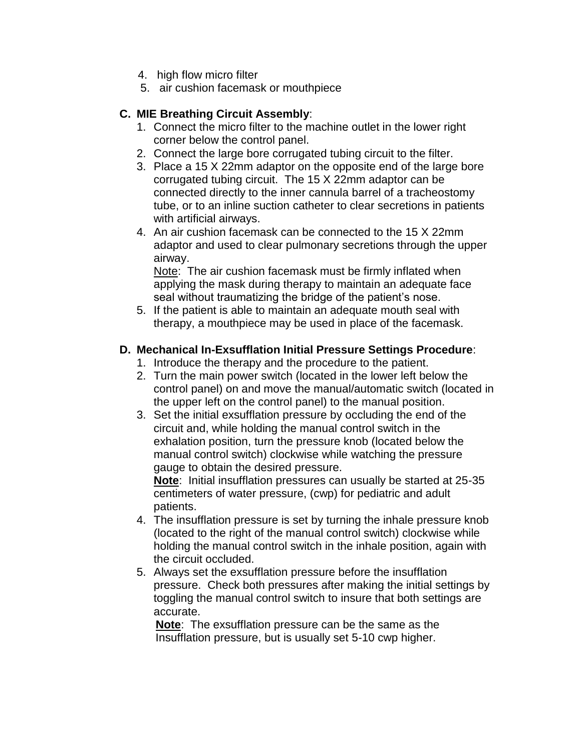- 4. high flow micro filter
- 5. air cushion facemask or mouthpiece

# **C. MIE Breathing Circuit Assembly**:

- 1. Connect the micro filter to the machine outlet in the lower right corner below the control panel.
- 2. Connect the large bore corrugated tubing circuit to the filter.
- 3. Place a 15 X 22mm adaptor on the opposite end of the large bore corrugated tubing circuit. The 15 X 22mm adaptor can be connected directly to the inner cannula barrel of a tracheostomy tube, or to an inline suction catheter to clear secretions in patients with artificial airways.
- 4. An air cushion facemask can be connected to the 15 X 22mm adaptor and used to clear pulmonary secretions through the upper airway.

Note: The air cushion facemask must be firmly inflated when applying the mask during therapy to maintain an adequate face seal without traumatizing the bridge of the patient's nose.

5. If the patient is able to maintain an adequate mouth seal with therapy, a mouthpiece may be used in place of the facemask.

## **D. Mechanical In-Exsufflation Initial Pressure Settings Procedure**:

- 1. Introduce the therapy and the procedure to the patient.
- 2. Turn the main power switch (located in the lower left below the control panel) on and move the manual/automatic switch (located in the upper left on the control panel) to the manual position.
- 3. Set the initial exsufflation pressure by occluding the end of the circuit and, while holding the manual control switch in the exhalation position, turn the pressure knob (located below the manual control switch) clockwise while watching the pressure gauge to obtain the desired pressure.

**Note**: Initial insufflation pressures can usually be started at 25-35 centimeters of water pressure, (cwp) for pediatric and adult patients.

- 4. The insufflation pressure is set by turning the inhale pressure knob (located to the right of the manual control switch) clockwise while holding the manual control switch in the inhale position, again with the circuit occluded.
- 5. Always set the exsufflation pressure before the insufflation pressure. Check both pressures after making the initial settings by toggling the manual control switch to insure that both settings are accurate.

 **Note**: The exsufflation pressure can be the same as the Insufflation pressure, but is usually set 5-10 cwp higher.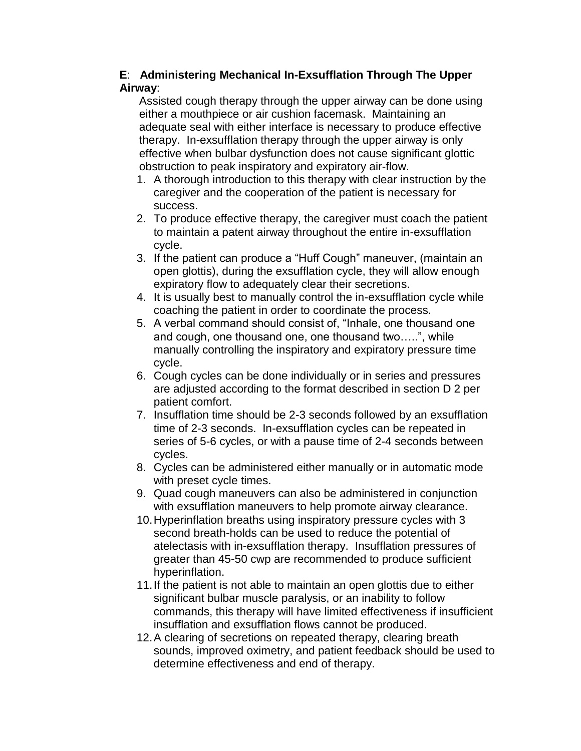### **E**: **Administering Mechanical In-Exsufflation Through The Upper Airway**:

 Assisted cough therapy through the upper airway can be done using either a mouthpiece or air cushion facemask. Maintaining an adequate seal with either interface is necessary to produce effective therapy. In-exsufflation therapy through the upper airway is only effective when bulbar dysfunction does not cause significant glottic obstruction to peak inspiratory and expiratory air-flow.

- 1. A thorough introduction to this therapy with clear instruction by the caregiver and the cooperation of the patient is necessary for success.
- 2. To produce effective therapy, the caregiver must coach the patient to maintain a patent airway throughout the entire in-exsufflation cycle.
- 3. If the patient can produce a "Huff Cough" maneuver, (maintain an open glottis), during the exsufflation cycle, they will allow enough expiratory flow to adequately clear their secretions.
- 4. It is usually best to manually control the in-exsufflation cycle while coaching the patient in order to coordinate the process.
- 5. A verbal command should consist of, "Inhale, one thousand one and cough, one thousand one, one thousand two…..", while manually controlling the inspiratory and expiratory pressure time cycle.
- 6. Cough cycles can be done individually or in series and pressures are adjusted according to the format described in section D 2 per patient comfort.
- 7. Insufflation time should be 2-3 seconds followed by an exsufflation time of 2-3 seconds. In-exsufflation cycles can be repeated in series of 5-6 cycles, or with a pause time of 2-4 seconds between cycles.
- 8. Cycles can be administered either manually or in automatic mode with preset cycle times.
- 9. Quad cough maneuvers can also be administered in conjunction with exsufflation maneuvers to help promote airway clearance.
- 10.Hyperinflation breaths using inspiratory pressure cycles with 3 second breath-holds can be used to reduce the potential of atelectasis with in-exsufflation therapy. Insufflation pressures of greater than 45-50 cwp are recommended to produce sufficient hyperinflation.
- 11.If the patient is not able to maintain an open glottis due to either significant bulbar muscle paralysis, or an inability to follow commands, this therapy will have limited effectiveness if insufficient insufflation and exsufflation flows cannot be produced.
- 12.A clearing of secretions on repeated therapy, clearing breath sounds, improved oximetry, and patient feedback should be used to determine effectiveness and end of therapy.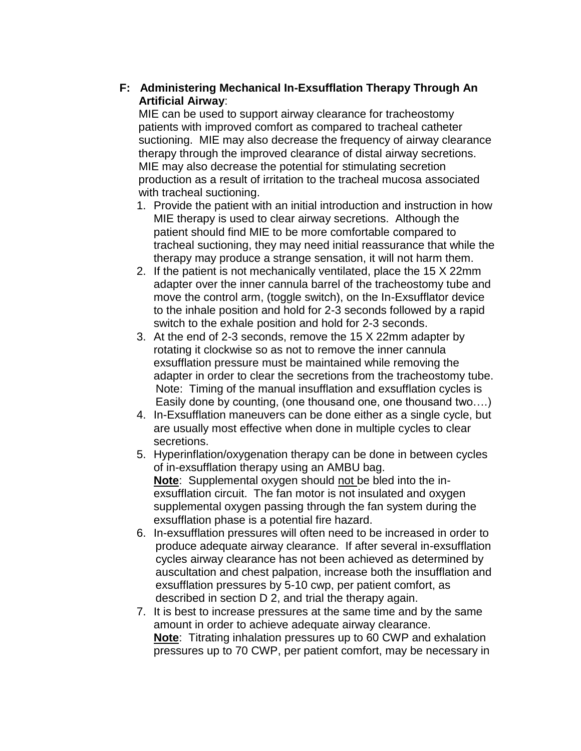# **F: Administering Mechanical In-Exsufflation Therapy Through An Artificial Airway**:

 MIE can be used to support airway clearance for tracheostomy patients with improved comfort as compared to tracheal catheter suctioning. MIE may also decrease the frequency of airway clearance therapy through the improved clearance of distal airway secretions. MIE may also decrease the potential for stimulating secretion production as a result of irritation to the tracheal mucosa associated with tracheal suctioning.

- 1. Provide the patient with an initial introduction and instruction in how MIE therapy is used to clear airway secretions. Although the patient should find MIE to be more comfortable compared to tracheal suctioning, they may need initial reassurance that while the therapy may produce a strange sensation, it will not harm them.
- 2. If the patient is not mechanically ventilated, place the 15 X 22mm adapter over the inner cannula barrel of the tracheostomy tube and move the control arm, (toggle switch), on the In-Exsufflator device to the inhale position and hold for 2-3 seconds followed by a rapid switch to the exhale position and hold for 2-3 seconds.
- 3. At the end of 2-3 seconds, remove the 15 X 22mm adapter by rotating it clockwise so as not to remove the inner cannula exsufflation pressure must be maintained while removing the adapter in order to clear the secretions from the tracheostomy tube. Note: Timing of the manual insufflation and exsufflation cycles is Easily done by counting, (one thousand one, one thousand two….)
- 4. In-Exsufflation maneuvers can be done either as a single cycle, but are usually most effective when done in multiple cycles to clear secretions.
- 5. Hyperinflation/oxygenation therapy can be done in between cycles of in-exsufflation therapy using an AMBU bag. **Note**: Supplemental oxygen should not be bled into the inexsufflation circuit. The fan motor is not insulated and oxygen supplemental oxygen passing through the fan system during the exsufflation phase is a potential fire hazard.
- 6. In-exsufflation pressures will often need to be increased in order to produce adequate airway clearance. If after several in-exsufflation cycles airway clearance has not been achieved as determined by auscultation and chest palpation, increase both the insufflation and exsufflation pressures by 5-10 cwp, per patient comfort, as described in section D 2, and trial the therapy again.
- 7. It is best to increase pressures at the same time and by the same amount in order to achieve adequate airway clearance. **Note**: Titrating inhalation pressures up to 60 CWP and exhalation pressures up to 70 CWP, per patient comfort, may be necessary in